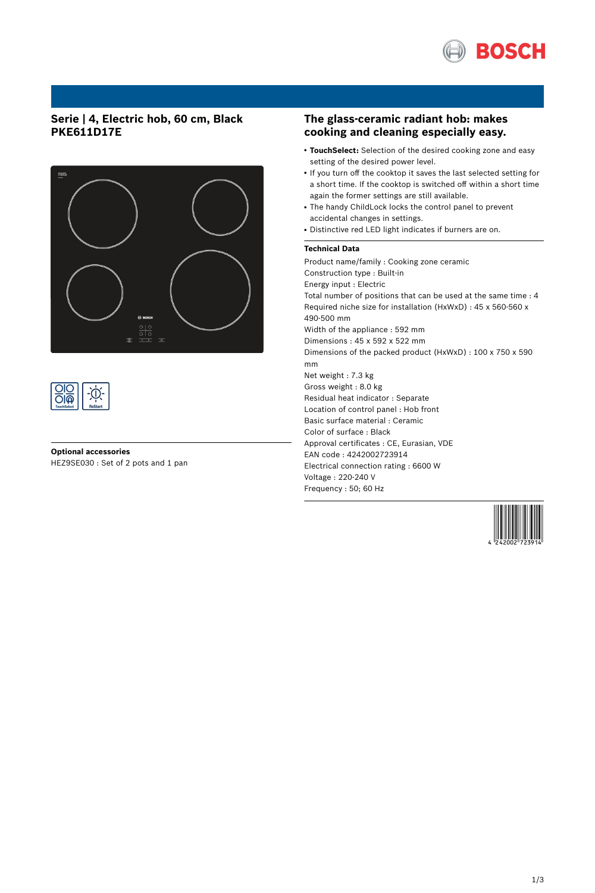

# **Serie | 4, Electric hob, 60 cm, Black PKE611D17E**





## **Optional accessories** HEZ9SE030 : Set of 2 pots and 1 pan

## **The glass-ceramic radiant hob: makes cooking and cleaning especially easy.**

- TouchSelect: Selection of the desired cooking zone and easy setting of the desired power level.
- If you turn off the cooktop it saves the last selected setting for a short time. If the cooktop is switched off within a short time again the former settings are still available.
- The handy ChildLock locks the control panel to prevent accidental changes in settings.
- Distinctive red LED light indicates if burners are on.

## **Technical Data**

Product name/family : Cooking zone ceramic Construction type : Built-in Energy input : Electric Total number of positions that can be used at the same time : 4 Required niche size for installation (HxWxD) : 45 x 560-560 x 490-500 mm Width of the appliance : 592 mm Dimensions : 45 x 592 x 522 mm Dimensions of the packed product (HxWxD) : 100 x 750 x 590 mm Net weight : 7.3 kg Gross weight : 8.0 kg Residual heat indicator : Separate Location of control panel : Hob front Basic surface material : Ceramic Color of surface : Black Approval certificates : CE, Eurasian, VDE EAN code : 4242002723914 Electrical connection rating : 6600 W Voltage : 220-240 V Frequency : 50; 60 Hz

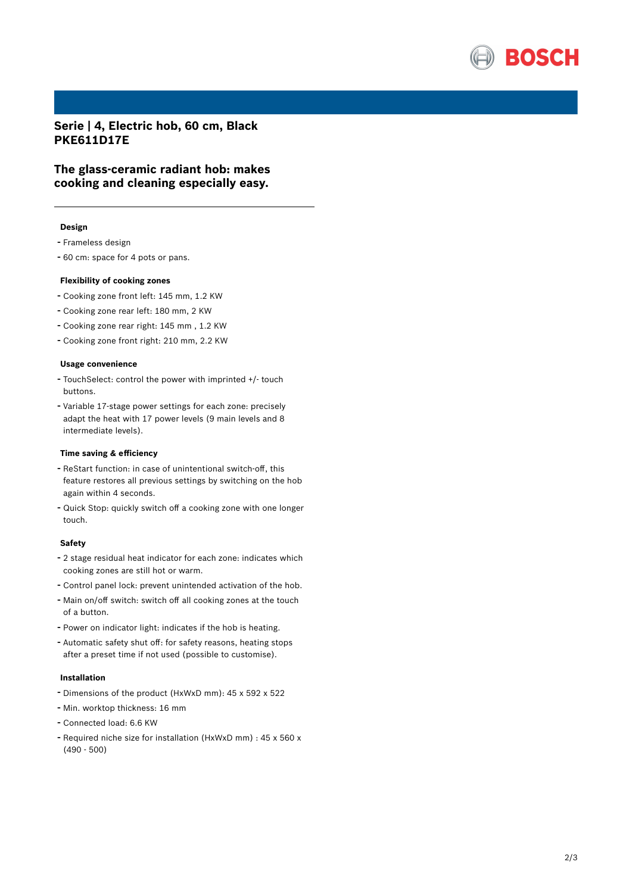

**Serie | 4, Electric hob, 60 cm, Black PKE611D17E**

**The glass-ceramic radiant hob: makes cooking and cleaning especially easy.**

### **Design**

- Frameless design
- <sup>60</sup> cm: space for <sup>4</sup> pots or pans.

#### **Flexibility of cooking zones**

- Cooking zone front left: <sup>145</sup> mm, 1.2 KW
- Cooking zone rear left: <sup>180</sup> mm, <sup>2</sup> KW
- Cooking zone rear right: <sup>145</sup> mm , 1.2 KW
- Cooking zone front right: <sup>210</sup> mm, 2.2 KW

### **Usage convenience**

- TouchSelect: control the power with imprinted +/- touch buttons.
- Variable 17-stage power settings for each zone: precisely adapt the heat with 17 power levels (9 main levels and 8 intermediate levels).

### **Time saving & efficiency**

- ReStart function: in case of unintentional switch-off, this feature restores all previous settings by switching on the hob again within 4 seconds.
- Quick Stop: quickly switch off <sup>a</sup> cooking zone with one longer touch.

#### **Safety**

- <sup>2</sup> stage residual heat indicator for each zone: indicates which cooking zones are still hot or warm.
- Control panel lock: prevent unintended activation of the hob.
- Main on/off switch: switch off all cooking zones at the touch of a button.
- Power on indicator light: indicates if the hob is heating.
- Automatic safety shut off: for safety reasons, heating stops after a preset time if not used (possible to customise).

### **Installation**

- Dimensions of the product (HxWxD mm): <sup>45</sup> <sup>x</sup> <sup>592</sup> <sup>x</sup> <sup>522</sup>
- Min. worktop thickness: <sup>16</sup> mm
- Connected load: 6.6 KW
- Required niche size for installation (HxWxD mm) : <sup>45</sup> <sup>x</sup> <sup>560</sup> <sup>x</sup> (490 - 500)